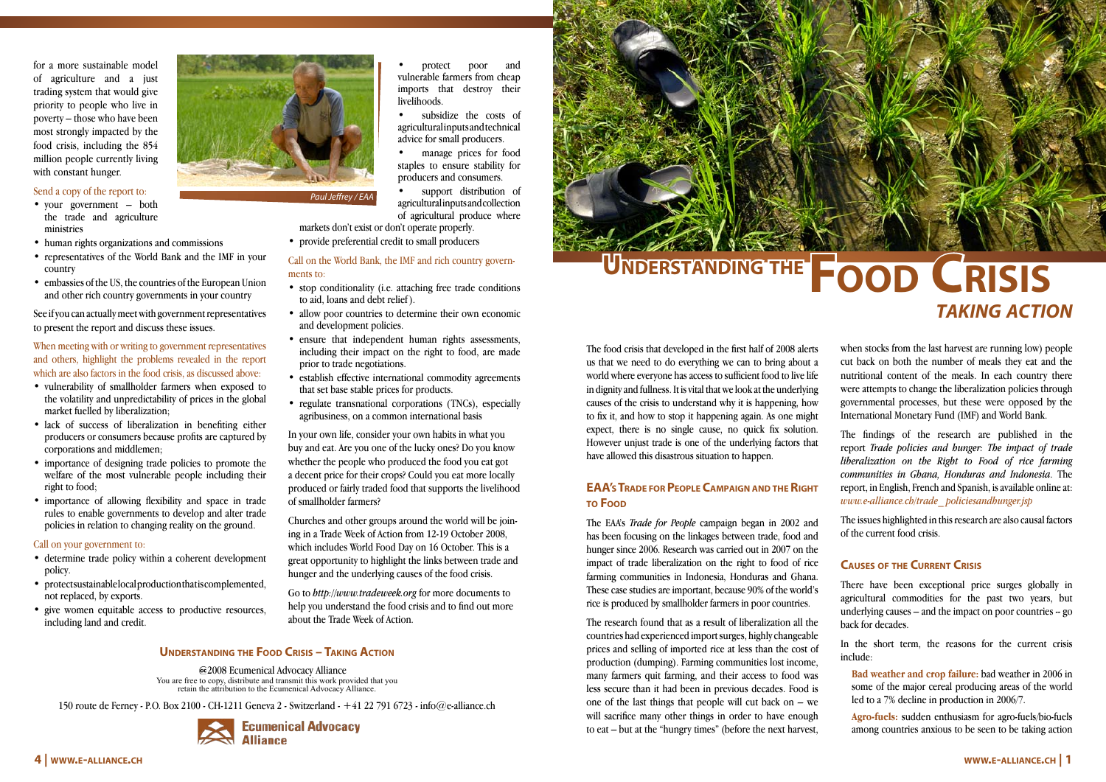The food crisis that developed in the first half of 2008 alerts us that we need to do everything we can to bring about a world where everyone has access to sufficient food to live life in dignity and fullness. It is vital that we look at the underlying causes of the crisis to understand why it is happening, how to fix it, and how to stop it happening again. As one might expect, there is no single cause, no quick fix solution. However unjust trade is one of the underlying factors that have allowed this disastrous situation to happen.

# **EAA's TRADE FOR PEOPLE CAMPAIGN AND THE RIGHT to Food**

The EAA's *Trade for People* campaign began in 2002 and has been focusing on the linkages between trade, food and hunger since 2006. Research was carried out in 2007 on the impact of trade liberalization on the right to food of rice farming communities in Indonesia, Honduras and Ghana. These case studies are important, because 90% of the world's rice is produced by smallholder farmers in poor countries.

The research found that as a result of liberalization all the countries had experienced import surges, highly changeable prices and selling of imported rice at less than the cost of production (dumping). Farming communities lost income, many farmers quit farming, and their access to food was less secure than it had been in previous decades. Food is one of the last things that people will cut back on  $-$  we will sacrifice many other things in order to have enough to eat – but at the "hungry times" (before the next harvest,

when stocks from the last harvest are running low) people cut back on both the number of meals they eat and the nutritional content of the meals. In each country there were attempts to change the liberalization policies through governmental processes, but these were opposed by the International Monetary Fund (IMF) and World Bank.

- your government both the trade and agriculture ministries
- human rights organizations and commissions
- representatives of the World Bank and the IMF in your country
- embassies of the US, the countries of the European Union and other rich country governments in your country

The findings of the research are published in the report *Trade policies and hunger: The impact of trade liberalization on the Right to Food of rice farming communities in Ghana, Honduras and Indonesia*. The report, in English, French and Spanish, is available online at: *www.e-alliance.ch/trade\_ policiesandhunger.jsp*

The issues highlighted in this research are also causal factors of the current food crisis.

# **Causes of the Current Crisis**

There have been exceptional price surges globally in agricultural commodities for the past two years, but underlying causes – and the impact on poor countries -- go back for decades.

subsidize the costs of agricultural inputs and technical advice for small producers.

manage prices for food staples to ensure stability for producers and consumers.

support distribution of agricultural inputs and collection of agricultural produce where

> In the short term, the reasons for the current crisis include:

**Bad weather and crop failure:** bad weather in 2006 in some of the major cereal producing areas of the world led to a 7% decline in production in 2006/7.

**Agro-fuels:** sudden enthusiasm for agro-fuels/bio-fuels among countries anxious to be seen to be taking action

*Paul Jeffrey/EAA*



# *taking action*

for a more sustainable model of agriculture and a just trading system that would give priority to people who live in poverty – those who have been most strongly impacted by the food crisis, including the 854 million people currently living with constant hunger.

#### Send a copy of the report to:

See if you can actually meet with government representatives to present the report and discuss these issues.

## When meeting with or writing to government representatives and others, highlight the problems revealed in the report which are also factors in the food crisis, as discussed above:

- vulnerability of smallholder farmers when exposed to the volatility and unpredictability of prices in the global market fuelled by liberalization;
- lack of success of liberalization in benefiting either producers or consumers because profits are captured by corporations and middlemen;
- importance of designing trade policies to promote the welfare of the most vulnerable people including their right to food;
- importance of allowing flexibility and space in trade rules to enable governments to develop and alter trade policies in relation to changing reality on the ground.

### Call on your government to:

- determine trade policy within a coherent development policy.
- protect sustainable local production that is complemented. not replaced, by exports.
- give women equitable access to productive resources, including land and credit.



• protect poor and vulnerable farmers from cheap imports that destroy their livelihoods.

- markets don't exist or don't operate properly.
- provide preferential credit to small producers

## Call on the World Bank, the IMF and rich country governments to:

- stop conditionality (i.e. attaching free trade conditions to aid, loans and debt relief ).
- allow poor countries to determine their own economic and development policies.
- ensure that independent human rights assessments, including their impact on the right to food, are made prior to trade negotiations.
- establish effective international commodity agreements that set base stable prices for products.
- regulate transnational corporations (TNCs), especially agribusiness, on a common international basis

In your own life, consider your own habits in what you buy and eat. Are you one of the lucky ones? Do you know whether the people who produced the food you eat got a decent price for their crops? Could you eat more locally produced or fairly traded food that supports the livelihood of smallholder farmers?

Churches and other groups around the world will be joining in a Trade Week of Action from 12-19 October 2008, which includes World Food Day on 16 October. This is a great opportunity to highlight the links between trade and hunger and the underlying causes of the food crisis.

Go to *http://www.tradeweek.org* for more documents to help you understand the food crisis and to find out more about the Trade Week of Action.

### **Understanding the Food Crisis – Taking Action**

2008 Ecumenical Advocacy Alliance You are free to copy, distribute and transmit this work provided that you retain the attribution to the Ecumenical Advocacy Alliance.

150 route de Ferney - P.O. Box 2100 - CH-1211 Geneva 2 - Switzerland - +41 22 791 6723 - info@e-alliance.ch



*Paul Jeffrey / EAA*